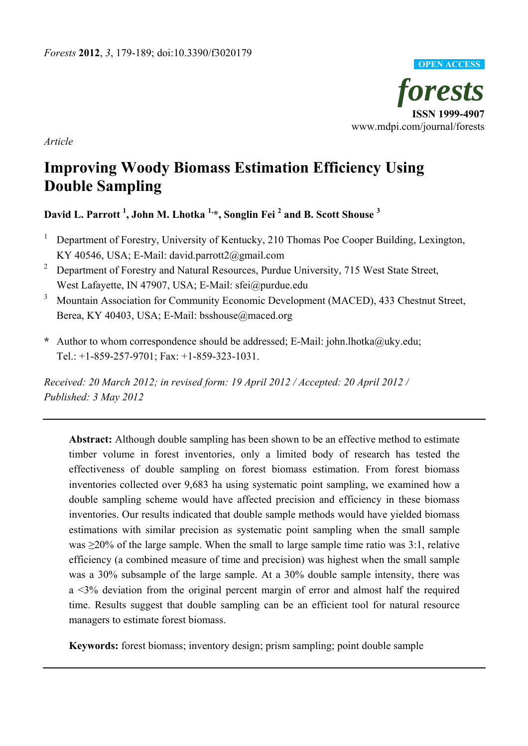

*Article* 

# **Improving Woody Biomass Estimation Efficiency Using Double Sampling**

## **David L. Parrott 1 , John M. Lhotka 1,\*, Songlin Fei 2 and B. Scott Shouse 3**

- 1 Department of Forestry, University of Kentucky, 210 Thomas Poe Cooper Building, Lexington, KY 40546, USA; E-Mail: david.parrott2@gmail.com
- <sup>2</sup> Department of Forestry and Natural Resources, Purdue University, 715 West State Street, West Lafayette, IN 47907, USA; E-Mail: sfei@purdue.edu
- <sup>3</sup> Mountain Association for Community Economic Development (MACED), 433 Chestnut Street, Berea, KY 40403, USA; E-Mail: bsshouse@maced.org
- **\*** Author to whom correspondence should be addressed; E-Mail: john.lhotka@uky.edu; Tel.: +1-859-257-9701; Fax: +1-859-323-1031.

*Received: 20 March 2012; in revised form: 19 April 2012 / Accepted: 20 April 2012 / Published: 3 May 2012* 

**Abstract:** Although double sampling has been shown to be an effective method to estimate timber volume in forest inventories, only a limited body of research has tested the effectiveness of double sampling on forest biomass estimation. From forest biomass inventories collected over 9,683 ha using systematic point sampling, we examined how a double sampling scheme would have affected precision and efficiency in these biomass inventories. Our results indicated that double sample methods would have yielded biomass estimations with similar precision as systematic point sampling when the small sample was  $\geq$ 20% of the large sample. When the small to large sample time ratio was 3:1, relative efficiency (a combined measure of time and precision) was highest when the small sample was a 30% subsample of the large sample. At a 30% double sample intensity, there was a <3% deviation from the original percent margin of error and almost half the required time. Results suggest that double sampling can be an efficient tool for natural resource managers to estimate forest biomass.

**Keywords:** forest biomass; inventory design; prism sampling; point double sample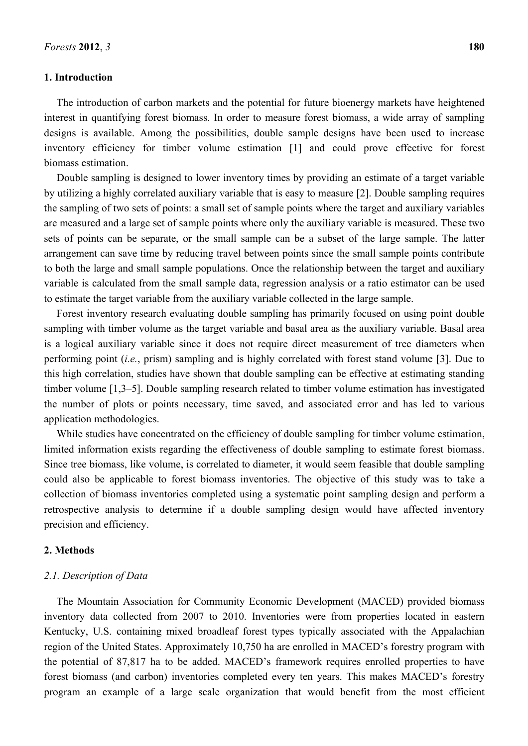#### **1. Introduction**

The introduction of carbon markets and the potential for future bioenergy markets have heightened interest in quantifying forest biomass. In order to measure forest biomass, a wide array of sampling designs is available. Among the possibilities, double sample designs have been used to increase inventory efficiency for timber volume estimation [1] and could prove effective for forest biomass estimation.

Double sampling is designed to lower inventory times by providing an estimate of a target variable by utilizing a highly correlated auxiliary variable that is easy to measure [2]. Double sampling requires the sampling of two sets of points: a small set of sample points where the target and auxiliary variables are measured and a large set of sample points where only the auxiliary variable is measured. These two sets of points can be separate, or the small sample can be a subset of the large sample. The latter arrangement can save time by reducing travel between points since the small sample points contribute to both the large and small sample populations. Once the relationship between the target and auxiliary variable is calculated from the small sample data, regression analysis or a ratio estimator can be used to estimate the target variable from the auxiliary variable collected in the large sample.

Forest inventory research evaluating double sampling has primarily focused on using point double sampling with timber volume as the target variable and basal area as the auxiliary variable. Basal area is a logical auxiliary variable since it does not require direct measurement of tree diameters when performing point (*i.e.*, prism) sampling and is highly correlated with forest stand volume [3]. Due to this high correlation, studies have shown that double sampling can be effective at estimating standing timber volume [1,3–5]. Double sampling research related to timber volume estimation has investigated the number of plots or points necessary, time saved, and associated error and has led to various application methodologies.

While studies have concentrated on the efficiency of double sampling for timber volume estimation, limited information exists regarding the effectiveness of double sampling to estimate forest biomass. Since tree biomass, like volume, is correlated to diameter, it would seem feasible that double sampling could also be applicable to forest biomass inventories. The objective of this study was to take a collection of biomass inventories completed using a systematic point sampling design and perform a retrospective analysis to determine if a double sampling design would have affected inventory precision and efficiency.

#### **2. Methods**

#### *2.1. Description of Data*

The Mountain Association for Community Economic Development (MACED) provided biomass inventory data collected from 2007 to 2010. Inventories were from properties located in eastern Kentucky, U.S. containing mixed broadleaf forest types typically associated with the Appalachian region of the United States. Approximately 10,750 ha are enrolled in MACED's forestry program with the potential of 87,817 ha to be added. MACED's framework requires enrolled properties to have forest biomass (and carbon) inventories completed every ten years. This makes MACED's forestry program an example of a large scale organization that would benefit from the most efficient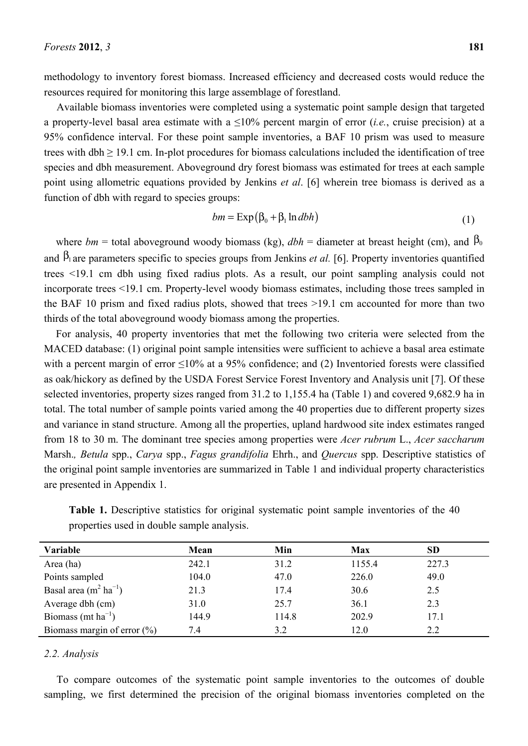methodology to inventory forest biomass. Increased efficiency and decreased costs would reduce the resources required for monitoring this large assemblage of forestland.

Available biomass inventories were completed using a systematic point sample design that targeted a property-level basal area estimate with a ≤10% percent margin of error (*i.e.*, cruise precision) at a 95% confidence interval. For these point sample inventories, a BAF 10 prism was used to measure trees with dbh  $\geq$  19.1 cm. In-plot procedures for biomass calculations included the identification of tree species and dbh measurement. Aboveground dry forest biomass was estimated for trees at each sample point using allometric equations provided by Jenkins *et al*. [6] wherein tree biomass is derived as a function of dbh with regard to species groups:

$$
bm = \exp(\beta_0 + \beta_1 \ln dbh) \tag{1}
$$

where  $bm =$  total aboveground woody biomass (kg),  $dbh =$  diameter at breast height (cm), and  $\beta_0$ and  $\beta_1$  are parameters specific to species groups from Jenkins *et al.* [6]. Property inventories quantified trees <19.1 cm dbh using fixed radius plots. As a result, our point sampling analysis could not incorporate trees <19.1 cm. Property-level woody biomass estimates, including those trees sampled in the BAF 10 prism and fixed radius plots, showed that trees >19.1 cm accounted for more than two thirds of the total aboveground woody biomass among the properties.

For analysis, 40 property inventories that met the following two criteria were selected from the MACED database: (1) original point sample intensities were sufficient to achieve a basal area estimate with a percent margin of error <10% at a 95% confidence; and (2) Inventoried forests were classified as oak/hickory as defined by the USDA Forest Service Forest Inventory and Analysis unit [7]. Of these selected inventories, property sizes ranged from 31.2 to 1,155.4 ha (Table 1) and covered 9,682.9 ha in total. The total number of sample points varied among the 40 properties due to different property sizes and variance in stand structure. Among all the properties, upland hardwood site index estimates ranged from 18 to 30 m. The dominant tree species among properties were *Acer rubrum* L., *Acer saccharum*  Marsh.*, Betula* spp., *Carya* spp., *Fagus grandifolia* Ehrh., and *Quercus* spp. Descriptive statistics of the original point sample inventories are summarized in Table 1 and individual property characteristics are presented in Appendix 1.

| Variable                           | Mean  | Min   | <b>Max</b> | SD    |  |
|------------------------------------|-------|-------|------------|-------|--|
| Area (ha)                          | 242.1 | 31.2  | 1155.4     | 227.3 |  |
| Points sampled                     | 104.0 | 47.0  | 226.0      | 49.0  |  |
| Basal area $(m^2 \text{ ha}^{-1})$ | 21.3  | 17.4  | 30.6       | 2.5   |  |
| Average dbh (cm)                   | 31.0  | 25.7  | 36.1       | 2.3   |  |
| Biomass (mt $ha^{-1}$ )            | 144.9 | 114.8 | 202.9      | 17.1  |  |
| Biomass margin of error $(\% )$    | 7.4   | 3.2   | 12.0       | 2.2   |  |

Table 1. Descriptive statistics for original systematic point sample inventories of the 40 properties used in double sample analysis.

#### *2.2. Analysis*

To compare outcomes of the systematic point sample inventories to the outcomes of double sampling, we first determined the precision of the original biomass inventories completed on the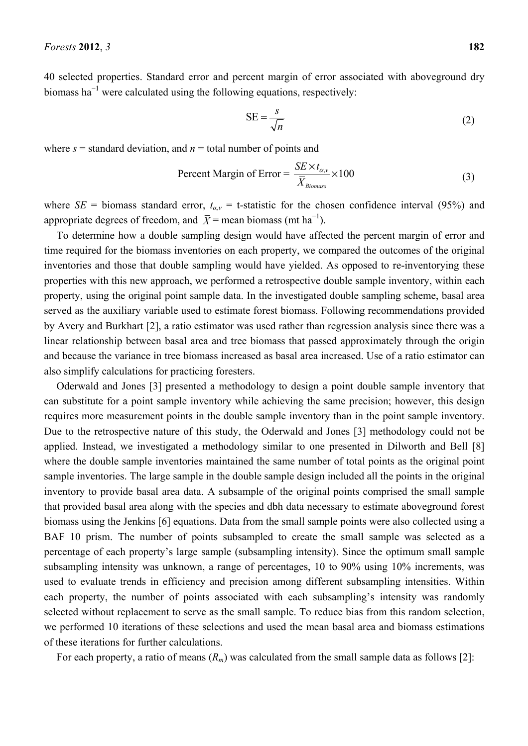40 selected properties. Standard error and percent margin of error associated with aboveground dry biomass ha<sup> $-1$ </sup> were calculated using the following equations, respectively:

$$
SE = \frac{s}{\sqrt{n}}\tag{2}
$$

where  $s =$  standard deviation, and  $n =$  total number of points and

Percent Margin of Error = 
$$
\frac{SE \times t_{\alpha, v}}{\overline{X}_{\text{Biomass}}} \times 100
$$
 (3)

where *SE* = biomass standard error,  $t_{a,v}$  = t-statistic for the chosen confidence interval (95%) and appropriate degrees of freedom, and  $\overline{X}$  = mean biomass (mt ha<sup>-1</sup>).

To determine how a double sampling design would have affected the percent margin of error and time required for the biomass inventories on each property, we compared the outcomes of the original inventories and those that double sampling would have yielded. As opposed to re-inventorying these properties with this new approach, we performed a retrospective double sample inventory, within each property, using the original point sample data. In the investigated double sampling scheme, basal area served as the auxiliary variable used to estimate forest biomass. Following recommendations provided by Avery and Burkhart [2], a ratio estimator was used rather than regression analysis since there was a linear relationship between basal area and tree biomass that passed approximately through the origin and because the variance in tree biomass increased as basal area increased. Use of a ratio estimator can also simplify calculations for practicing foresters.

Oderwald and Jones [3] presented a methodology to design a point double sample inventory that can substitute for a point sample inventory while achieving the same precision; however, this design requires more measurement points in the double sample inventory than in the point sample inventory. Due to the retrospective nature of this study, the Oderwald and Jones [3] methodology could not be applied. Instead, we investigated a methodology similar to one presented in Dilworth and Bell [8] where the double sample inventories maintained the same number of total points as the original point sample inventories. The large sample in the double sample design included all the points in the original inventory to provide basal area data. A subsample of the original points comprised the small sample that provided basal area along with the species and dbh data necessary to estimate aboveground forest biomass using the Jenkins [6] equations. Data from the small sample points were also collected using a BAF 10 prism. The number of points subsampled to create the small sample was selected as a percentage of each property's large sample (subsampling intensity). Since the optimum small sample subsampling intensity was unknown, a range of percentages, 10 to 90% using 10% increments, was used to evaluate trends in efficiency and precision among different subsampling intensities. Within each property, the number of points associated with each subsampling's intensity was randomly selected without replacement to serve as the small sample. To reduce bias from this random selection, we performed 10 iterations of these selections and used the mean basal area and biomass estimations of these iterations for further calculations.

For each property, a ratio of means  $(R_m)$  was calculated from the small sample data as follows [2]: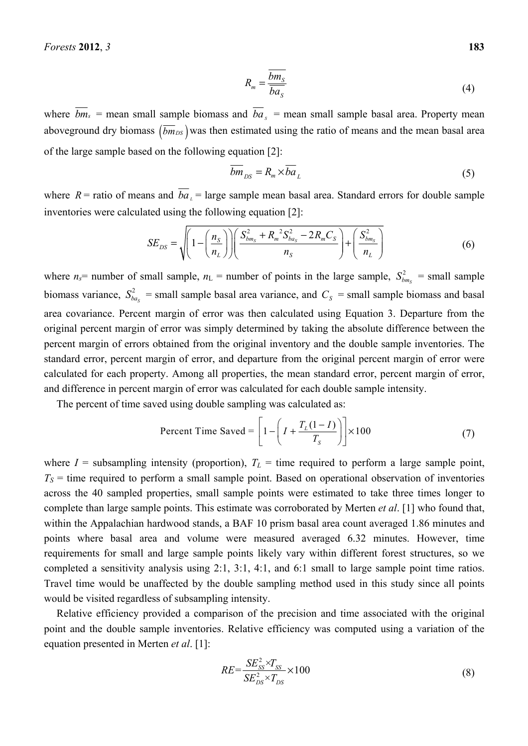$$
R_m = \frac{\overline{bm_s}}{\overline{ba_s}}\tag{4}
$$

where  $\overline{bm}_s$  = mean small sample biomass and  $\overline{ba}_s$  = mean small sample basal area. Property mean aboveground dry biomass  $(\overline{bm}_{DS})$  was then estimated using the ratio of means and the mean basal area of the large sample based on the following equation [2]:

$$
\overline{bm}_{DS} = R_m \times \overline{ba}_L \tag{5}
$$

where  $R$  = ratio of means and  $\overline{ba}_L$  = large sample mean basal area. Standard errors for double sample inventories were calculated using the following equation [2]:

$$
SE_{DS} = \sqrt{\left(1 - \left(\frac{n_S}{n_L}\right)\right)\left(\frac{S_{bm_S}^2 + R_m^2 S_{ba_S}^2 - 2R_m C_S}{n_S}\right) + \left(\frac{S_{bm_S}^2}{n_L}\right)}
$$
(6)

where  $n_s$  = number of small sample,  $n_L$  = number of points in the large sample,  $S_{bm_s}^2$  = small sample biomass variance,  $S_{ba_s}^2$  = small sample basal area variance, and  $C_s$  = small sample biomass and basal area covariance. Percent margin of error was then calculated using Equation 3. Departure from the original percent margin of error was simply determined by taking the absolute difference between the percent margin of errors obtained from the original inventory and the double sample inventories. The standard error, percent margin of error, and departure from the original percent margin of error were calculated for each property. Among all properties, the mean standard error, percent margin of error, and difference in percent margin of error was calculated for each double sample intensity.

The percent of time saved using double sampling was calculated as:

Percent Time Saved = 
$$
\left[1 - \left(I + \frac{T_L(1 - I)}{T_S}\right)\right] \times 100\tag{7}
$$

where  $I =$  subsampling intensity (proportion),  $T_L =$  time required to perform a large sample point,  $T<sub>S</sub>$  = time required to perform a small sample point. Based on operational observation of inventories across the 40 sampled properties, small sample points were estimated to take three times longer to complete than large sample points. This estimate was corroborated by Merten *et al*. [1] who found that, within the Appalachian hardwood stands, a BAF 10 prism basal area count averaged 1.86 minutes and points where basal area and volume were measured averaged 6.32 minutes. However, time requirements for small and large sample points likely vary within different forest structures, so we completed a sensitivity analysis using 2:1, 3:1, 4:1, and 6:1 small to large sample point time ratios. Travel time would be unaffected by the double sampling method used in this study since all points would be visited regardless of subsampling intensity.

Relative efficiency provided a comparison of the precision and time associated with the original point and the double sample inventories. Relative efficiency was computed using a variation of the equation presented in Merten *et al*. [1]:

$$
RE = \frac{SE_{SS}^2 \times T_{SS}}{SE_{DS}^2 \times T_{DS}} \times 100
$$
\n(8)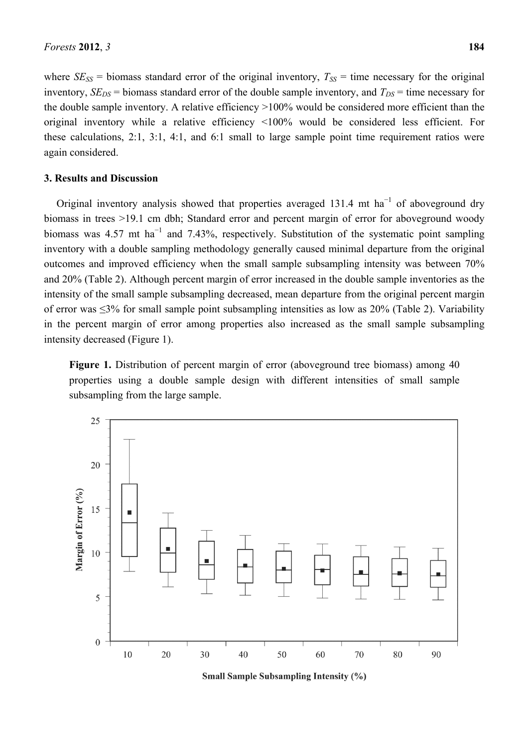where  $SE_{SS}$  = biomass standard error of the original inventory,  $T_{SS}$  = time necessary for the original inventory,  $SE_{DS}$  = biomass standard error of the double sample inventory, and  $T_{DS}$  = time necessary for the double sample inventory. A relative efficiency >100% would be considered more efficient than the original inventory while a relative efficiency <100% would be considered less efficient. For these calculations, 2:1, 3:1, 4:1, and 6:1 small to large sample point time requirement ratios were again considered.

#### **3. Results and Discussion**

Original inventory analysis showed that properties averaged 131.4 mt ha<sup>-1</sup> of aboveground dry biomass in trees >19.1 cm dbh; Standard error and percent margin of error for aboveground woody biomass was 4.57 mt ha<sup>-1</sup> and 7.43%, respectively. Substitution of the systematic point sampling inventory with a double sampling methodology generally caused minimal departure from the original outcomes and improved efficiency when the small sample subsampling intensity was between 70% and 20% (Table 2). Although percent margin of error increased in the double sample inventories as the intensity of the small sample subsampling decreased, mean departure from the original percent margin of error was ≤3% for small sample point subsampling intensities as low as 20% (Table 2). Variability in the percent margin of error among properties also increased as the small sample subsampling intensity decreased (Figure 1).

**Figure 1.** Distribution of percent margin of error (aboveground tree biomass) among 40 properties using a double sample design with different intensities of small sample subsampling from the large sample.



**Small Sample Subsampling Intensity (%)**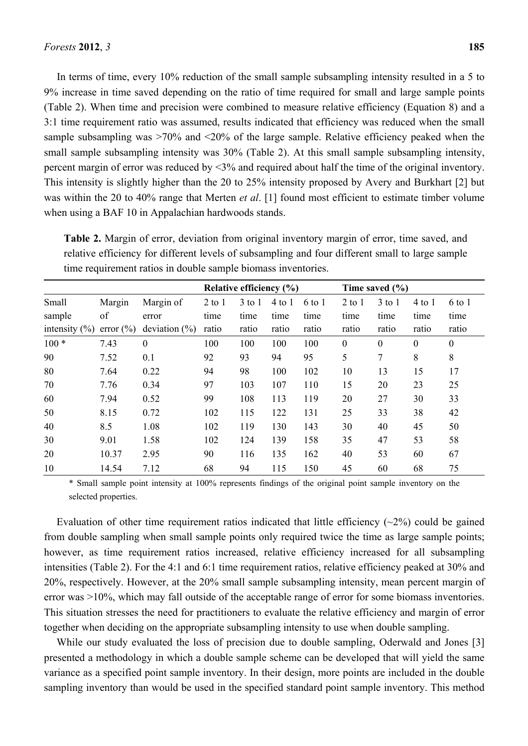In terms of time, every 10% reduction of the small sample subsampling intensity resulted in a 5 to 9% increase in time saved depending on the ratio of time required for small and large sample points (Table 2). When time and precision were combined to measure relative efficiency (Equation 8) and a 3:1 time requirement ratio was assumed, results indicated that efficiency was reduced when the small sample subsampling was  $>70\%$  and  $<20\%$  of the large sample. Relative efficiency peaked when the small sample subsampling intensity was 30% (Table 2). At this small sample subsampling intensity, percent margin of error was reduced by <3% and required about half the time of the original inventory. This intensity is slightly higher than the 20 to 25% intensity proposed by Avery and Burkhart [2] but was within the 20 to 40% range that Merten *et al*. [1] found most efficient to estimate timber volume when using a BAF 10 in Appalachian hardwoods stands.

|                   | Relative efficiency (%) |                   |            | Time saved $(\% )$ |          |        |              |            |              |              |
|-------------------|-------------------------|-------------------|------------|--------------------|----------|--------|--------------|------------|--------------|--------------|
| Small             | Margin                  | Margin of         | $2$ to $1$ | $3$ to $1$         | $4$ to 1 | 6 to 1 | $2$ to $1$   | $3$ to $1$ | $4$ to $1$   | 6 to 1       |
| sample            | of                      | error             | time       | time               | time     | time   | time         | time       | time         | time         |
| intensity $(\% )$ | error $(\% )$           | deviation $(\% )$ | ratio      | ratio              | ratio    | ratio  | ratio        | ratio      | ratio        | ratio        |
| $100*$            | 7.43                    | $\theta$          | 100        | 100                | 100      | 100    | $\mathbf{0}$ | $\theta$   | $\mathbf{0}$ | $\mathbf{0}$ |
| 90                | 7.52                    | 0.1               | 92         | 93                 | 94       | 95     | 5            | 7          | 8            | 8            |
| 80                | 7.64                    | 0.22              | 94         | 98                 | 100      | 102    | 10           | 13         | 15           | 17           |
| 70                | 7.76                    | 0.34              | 97         | 103                | 107      | 110    | 15           | 20         | 23           | 25           |
| 60                | 7.94                    | 0.52              | 99         | 108                | 113      | 119    | 20           | 27         | 30           | 33           |
| 50                | 8.15                    | 0.72              | 102        | 115                | 122      | 131    | 25           | 33         | 38           | 42           |
| 40                | 8.5                     | 1.08              | 102        | 119                | 130      | 143    | 30           | 40         | 45           | 50           |
| 30                | 9.01                    | 1.58              | 102        | 124                | 139      | 158    | 35           | 47         | 53           | 58           |
| 20                | 10.37                   | 2.95              | 90         | 116                | 135      | 162    | 40           | 53         | 60           | 67           |
| 10                | 14.54                   | 7.12              | 68         | 94                 | 115      | 150    | 45           | 60         | 68           | 75           |

**Table 2.** Margin of error, deviation from original inventory margin of error, time saved, and relative efficiency for different levels of subsampling and four different small to large sample time requirement ratios in double sample biomass inventories.

\* Small sample point intensity at 100% represents findings of the original point sample inventory on the selected properties.

Evaluation of other time requirement ratios indicated that little efficiency  $(\sim 2\%)$  could be gained from double sampling when small sample points only required twice the time as large sample points; however, as time requirement ratios increased, relative efficiency increased for all subsampling intensities (Table 2). For the 4:1 and 6:1 time requirement ratios, relative efficiency peaked at 30% and 20%, respectively. However, at the 20% small sample subsampling intensity, mean percent margin of error was >10%, which may fall outside of the acceptable range of error for some biomass inventories. This situation stresses the need for practitioners to evaluate the relative efficiency and margin of error together when deciding on the appropriate subsampling intensity to use when double sampling.

While our study evaluated the loss of precision due to double sampling, Oderwald and Jones [3] presented a methodology in which a double sample scheme can be developed that will yield the same variance as a specified point sample inventory. In their design, more points are included in the double sampling inventory than would be used in the specified standard point sample inventory. This method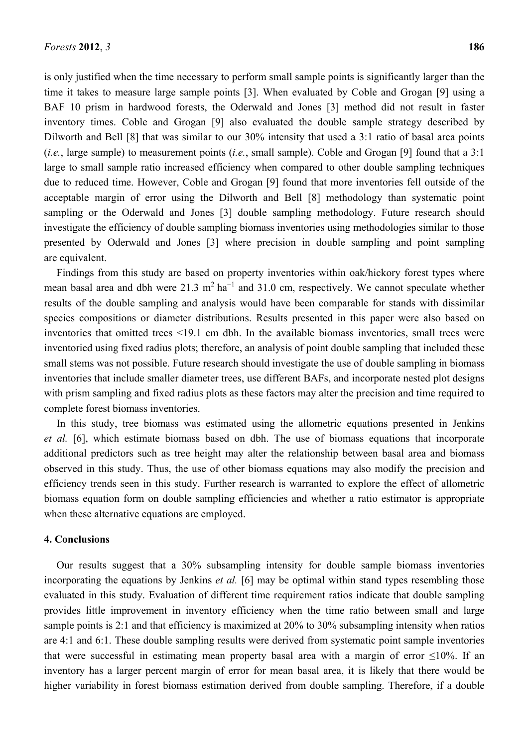is only justified when the time necessary to perform small sample points is significantly larger than the time it takes to measure large sample points [3]. When evaluated by Coble and Grogan [9] using a BAF 10 prism in hardwood forests, the Oderwald and Jones [3] method did not result in faster inventory times. Coble and Grogan [9] also evaluated the double sample strategy described by Dilworth and Bell [8] that was similar to our 30% intensity that used a 3:1 ratio of basal area points (*i.e.*, large sample) to measurement points (*i.e.*, small sample). Coble and Grogan [9] found that a 3:1 large to small sample ratio increased efficiency when compared to other double sampling techniques due to reduced time. However, Coble and Grogan [9] found that more inventories fell outside of the acceptable margin of error using the Dilworth and Bell [8] methodology than systematic point sampling or the Oderwald and Jones [3] double sampling methodology. Future research should investigate the efficiency of double sampling biomass inventories using methodologies similar to those presented by Oderwald and Jones [3] where precision in double sampling and point sampling are equivalent.

Findings from this study are based on property inventories within oak/hickory forest types where mean basal area and dbh were 21.3 m<sup>2</sup> ha<sup>-1</sup> and 31.0 cm, respectively. We cannot speculate whether results of the double sampling and analysis would have been comparable for stands with dissimilar species compositions or diameter distributions. Results presented in this paper were also based on inventories that omitted trees <19.1 cm dbh. In the available biomass inventories, small trees were inventoried using fixed radius plots; therefore, an analysis of point double sampling that included these small stems was not possible. Future research should investigate the use of double sampling in biomass inventories that include smaller diameter trees, use different BAFs, and incorporate nested plot designs with prism sampling and fixed radius plots as these factors may alter the precision and time required to complete forest biomass inventories.

In this study, tree biomass was estimated using the allometric equations presented in Jenkins *et al.* [6], which estimate biomass based on dbh. The use of biomass equations that incorporate additional predictors such as tree height may alter the relationship between basal area and biomass observed in this study. Thus, the use of other biomass equations may also modify the precision and efficiency trends seen in this study. Further research is warranted to explore the effect of allometric biomass equation form on double sampling efficiencies and whether a ratio estimator is appropriate when these alternative equations are employed.

#### **4. Conclusions**

Our results suggest that a 30% subsampling intensity for double sample biomass inventories incorporating the equations by Jenkins *et al.* [6] may be optimal within stand types resembling those evaluated in this study. Evaluation of different time requirement ratios indicate that double sampling provides little improvement in inventory efficiency when the time ratio between small and large sample points is 2:1 and that efficiency is maximized at 20% to 30% subsampling intensity when ratios are 4:1 and 6:1. These double sampling results were derived from systematic point sample inventories that were successful in estimating mean property basal area with a margin of error ≤10%. If an inventory has a larger percent margin of error for mean basal area, it is likely that there would be higher variability in forest biomass estimation derived from double sampling. Therefore, if a double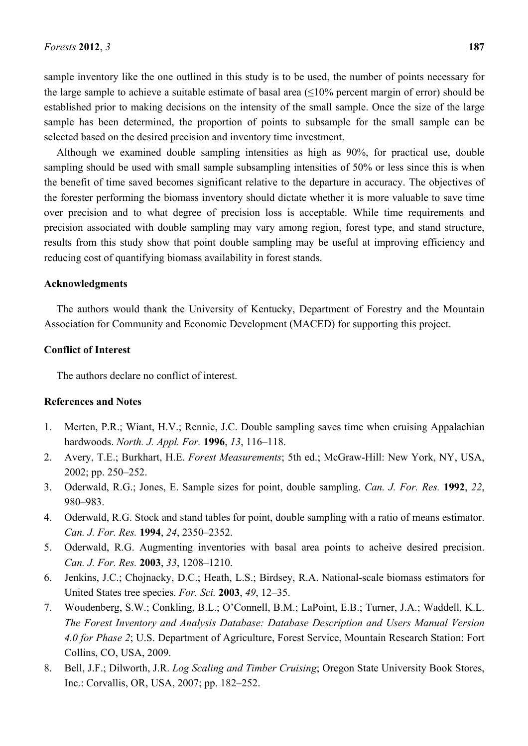sample inventory like the one outlined in this study is to be used, the number of points necessary for the large sample to achieve a suitable estimate of basal area  $(\leq 10\%$  percent margin of error) should be established prior to making decisions on the intensity of the small sample. Once the size of the large sample has been determined, the proportion of points to subsample for the small sample can be selected based on the desired precision and inventory time investment.

Although we examined double sampling intensities as high as 90%, for practical use, double sampling should be used with small sample subsampling intensities of 50% or less since this is when the benefit of time saved becomes significant relative to the departure in accuracy. The objectives of the forester performing the biomass inventory should dictate whether it is more valuable to save time over precision and to what degree of precision loss is acceptable. While time requirements and precision associated with double sampling may vary among region, forest type, and stand structure, results from this study show that point double sampling may be useful at improving efficiency and reducing cost of quantifying biomass availability in forest stands.

#### **Acknowledgments**

The authors would thank the University of Kentucky, Department of Forestry and the Mountain Association for Community and Economic Development (MACED) for supporting this project.

### **Conflict of Interest**

The authors declare no conflict of interest.

#### **References and Notes**

- 1. Merten, P.R.; Wiant, H.V.; Rennie, J.C. Double sampling saves time when cruising Appalachian hardwoods. *North. J. Appl. For.* **1996**, *13*, 116–118.
- 2. Avery, T.E.; Burkhart, H.E. *Forest Measurements*; 5th ed.; McGraw-Hill: New York, NY, USA, 2002; pp. 250–252.
- 3. Oderwald, R.G.; Jones, E. Sample sizes for point, double sampling. *Can. J. For. Res.* **1992**, *22*, 980–983.
- 4. Oderwald, R.G. Stock and stand tables for point, double sampling with a ratio of means estimator. *Can. J. For. Res.* **1994**, *24*, 2350–2352.
- 5. Oderwald, R.G. Augmenting inventories with basal area points to acheive desired precision. *Can. J. For. Res.* **2003**, *33*, 1208–1210.
- 6. Jenkins, J.C.; Chojnacky, D.C.; Heath, L.S.; Birdsey, R.A. National-scale biomass estimators for United States tree species. *For. Sci.* **2003**, *49*, 12–35.
- 7. Woudenberg, S.W.; Conkling, B.L.; O'Connell, B.M.; LaPoint, E.B.; Turner, J.A.; Waddell, K.L. *The Forest Inventory and Analysis Database: Database Description and Users Manual Version 4.0 for Phase 2*; U.S. Department of Agriculture, Forest Service, Mountain Research Station: Fort Collins, CO, USA, 2009.
- 8. Bell, J.F.; Dilworth, J.R. *Log Scaling and Timber Cruising*; Oregon State University Book Stores, Inc.: Corvallis, OR, USA, 2007; pp. 182–252.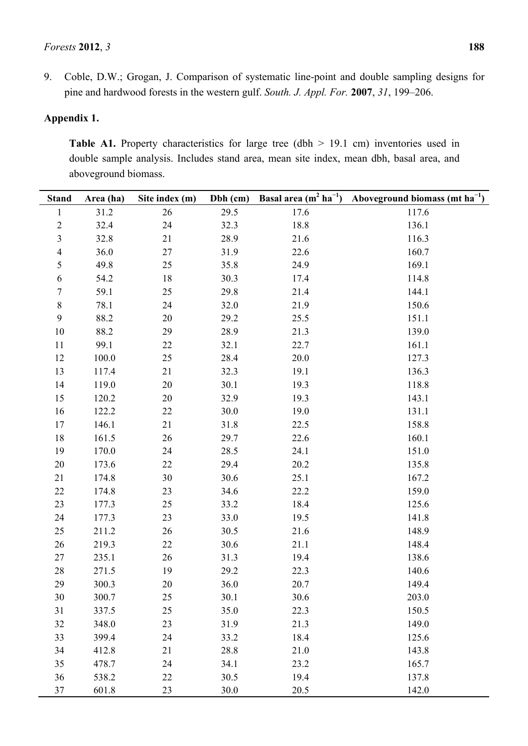9. Coble, D.W.; Grogan, J. Comparison of systematic line-point and double sampling designs for pine and hardwood forests in the western gulf. *South. J. Appl. For.* **2007**, *31*, 199–206.

## **Appendix 1.**

Table A1. Property characteristics for large tree (dbh > 19.1 cm) inventories used in double sample analysis. Includes stand area, mean site index, mean dbh, basal area, and aboveground biomass.

| <b>Stand</b>            | Area (ha) | Site index (m) | Dbh (cm) | Basal area $(m^2 ha^{-1})$ | Aboveground biomass (mt $ha^{-1}$ ) |
|-------------------------|-----------|----------------|----------|----------------------------|-------------------------------------|
| $\mathbf{1}$            | 31.2      | 26             | 29.5     | 17.6                       | 117.6                               |
| $\overline{c}$          | 32.4      | 24             | 32.3     | 18.8                       | 136.1                               |
| 3                       | 32.8      | 21             | 28.9     | 21.6                       | 116.3                               |
| $\overline{\mathbf{4}}$ | 36.0      | 27             | 31.9     | 22.6                       | 160.7                               |
| 5                       | 49.8      | 25             | 35.8     | 24.9                       | 169.1                               |
| $\boldsymbol{6}$        | 54.2      | 18             | 30.3     | 17.4                       | 114.8                               |
| $\boldsymbol{7}$        | 59.1      | 25             | 29.8     | 21.4                       | 144.1                               |
| $8\,$                   | 78.1      | 24             | 32.0     | 21.9                       | 150.6                               |
| 9                       | 88.2      | 20             | 29.2     | 25.5                       | 151.1                               |
| 10                      | 88.2      | 29             | 28.9     | 21.3                       | 139.0                               |
| 11                      | 99.1      | 22             | 32.1     | 22.7                       | 161.1                               |
| 12                      | 100.0     | 25             | 28.4     | 20.0                       | 127.3                               |
| 13                      | 117.4     | 21             | 32.3     | 19.1                       | 136.3                               |
| 14                      | 119.0     | 20             | 30.1     | 19.3                       | 118.8                               |
| 15                      | 120.2     | 20             | 32.9     | 19.3                       | 143.1                               |
| 16                      | 122.2     | 22             | 30.0     | 19.0                       | 131.1                               |
| 17                      | 146.1     | 21             | 31.8     | 22.5                       | 158.8                               |
| 18                      | 161.5     | 26             | 29.7     | 22.6                       | 160.1                               |
| 19                      | 170.0     | 24             | 28.5     | 24.1                       | 151.0                               |
| 20                      | 173.6     | 22             | 29.4     | 20.2                       | 135.8                               |
| 21                      | 174.8     | 30             | 30.6     | 25.1                       | 167.2                               |
| 22                      | 174.8     | 23             | 34.6     | 22.2                       | 159.0                               |
| 23                      | 177.3     | 25             | 33.2     | 18.4                       | 125.6                               |
| 24                      | 177.3     | 23             | 33.0     | 19.5                       | 141.8                               |
| 25                      | 211.2     | 26             | 30.5     | 21.6                       | 148.9                               |
| 26                      | 219.3     | 22             | 30.6     | 21.1                       | 148.4                               |
| 27                      | 235.1     | 26             | 31.3     | 19.4                       | 138.6                               |
| 28                      | 271.5     | 19             | 29.2     | 22.3                       | 140.6                               |
| 29                      | 300.3     | 20             | 36.0     | 20.7                       | 149.4                               |
| 30                      | 300.7     | 25             | 30.1     | 30.6                       | 203.0                               |
| 31                      | 337.5     | 25             | 35.0     | 22.3                       | 150.5                               |
| 32                      | 348.0     | 23             | 31.9     | 21.3                       | 149.0                               |
| 33                      | 399.4     | 24             | 33.2     | 18.4                       | 125.6                               |
| 34                      | 412.8     | 21             | 28.8     | 21.0                       | 143.8                               |
| 35                      | 478.7     | 24             | 34.1     | 23.2                       | 165.7                               |
| 36                      | 538.2     | 22             | 30.5     | 19.4                       | 137.8                               |
| 37                      | 601.8     | 23             | $30.0$   | 20.5                       | 142.0                               |